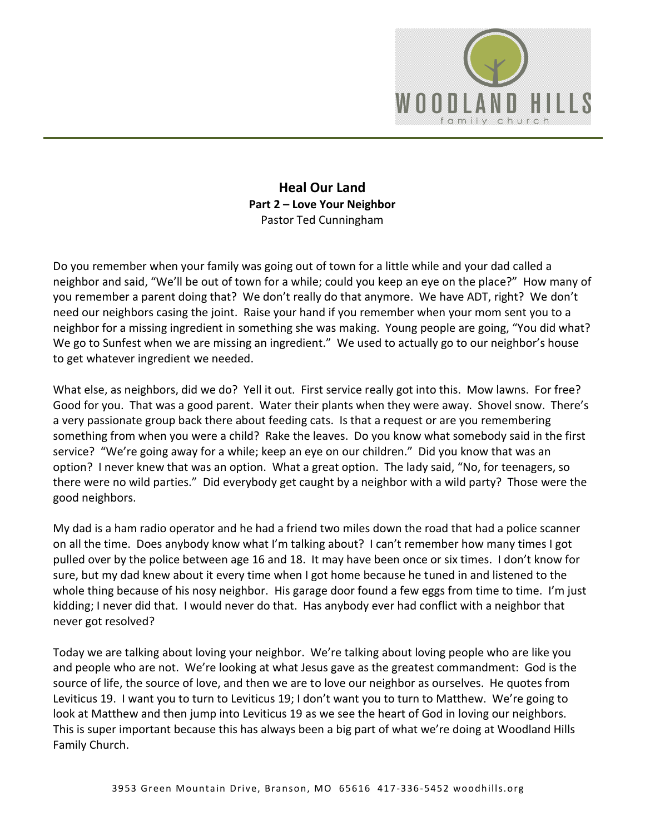

**Heal Our Land Part 2 – Love Your Neighbor**  Pastor Ted Cunningham

Do you remember when your family was going out of town for a little while and your dad called a neighbor and said, "We'll be out of town for a while; could you keep an eye on the place?" How many of you remember a parent doing that? We don't really do that anymore. We have ADT, right? We don't need our neighbors casing the joint. Raise your hand if you remember when your mom sent you to a neighbor for a missing ingredient in something she was making. Young people are going, "You did what? We go to Sunfest when we are missing an ingredient." We used to actually go to our neighbor's house to get whatever ingredient we needed.

What else, as neighbors, did we do? Yell it out. First service really got into this. Mow lawns. For free? Good for you. That was a good parent. Water their plants when they were away. Shovel snow. There's a very passionate group back there about feeding cats. Is that a request or are you remembering something from when you were a child? Rake the leaves. Do you know what somebody said in the first service? "We're going away for a while; keep an eye on our children." Did you know that was an option? I never knew that was an option. What a great option. The lady said, "No, for teenagers, so there were no wild parties." Did everybody get caught by a neighbor with a wild party? Those were the good neighbors.

My dad is a ham radio operator and he had a friend two miles down the road that had a police scanner on all the time. Does anybody know what I'm talking about? I can't remember how many times I got pulled over by the police between age 16 and 18. It may have been once or six times. I don't know for sure, but my dad knew about it every time when I got home because he tuned in and listened to the whole thing because of his nosy neighbor. His garage door found a few eggs from time to time. I'm just kidding; I never did that. I would never do that. Has anybody ever had conflict with a neighbor that never got resolved?

Today we are talking about loving your neighbor. We're talking about loving people who are like you and people who are not. We're looking at what Jesus gave as the greatest commandment: God is the source of life, the source of love, and then we are to love our neighbor as ourselves. He quotes from Leviticus 19. I want you to turn to Leviticus 19; I don't want you to turn to Matthew. We're going to look at Matthew and then jump into Leviticus 19 as we see the heart of God in loving our neighbors. This is super important because this has always been a big part of what we're doing at Woodland Hills Family Church.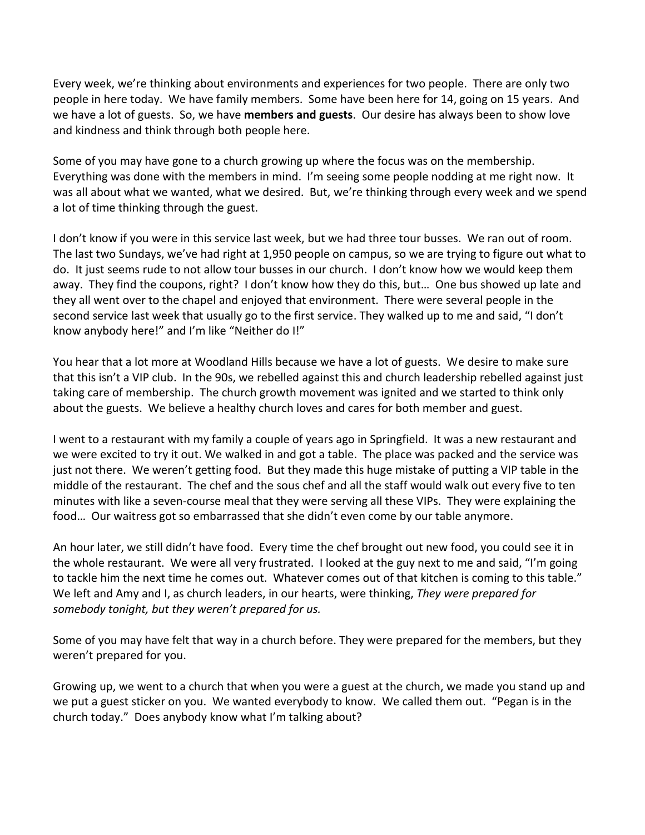Every week, we're thinking about environments and experiences for two people. There are only two people in here today. We have family members. Some have been here for 14, going on 15 years. And we have a lot of guests. So, we have **members and guests**. Our desire has always been to show love and kindness and think through both people here.

Some of you may have gone to a church growing up where the focus was on the membership. Everything was done with the members in mind. I'm seeing some people nodding at me right now. It was all about what we wanted, what we desired. But, we're thinking through every week and we spend a lot of time thinking through the guest.

I don't know if you were in this service last week, but we had three tour busses. We ran out of room. The last two Sundays, we've had right at 1,950 people on campus, so we are trying to figure out what to do. It just seems rude to not allow tour busses in our church. I don't know how we would keep them away. They find the coupons, right? I don't know how they do this, but… One bus showed up late and they all went over to the chapel and enjoyed that environment. There were several people in the second service last week that usually go to the first service. They walked up to me and said, "I don't know anybody here!" and I'm like "Neither do I!"

You hear that a lot more at Woodland Hills because we have a lot of guests. We desire to make sure that this isn't a VIP club. In the 90s, we rebelled against this and church leadership rebelled against just taking care of membership. The church growth movement was ignited and we started to think only about the guests. We believe a healthy church loves and cares for both member and guest.

I went to a restaurant with my family a couple of years ago in Springfield. It was a new restaurant and we were excited to try it out. We walked in and got a table. The place was packed and the service was just not there. We weren't getting food. But they made this huge mistake of putting a VIP table in the middle of the restaurant. The chef and the sous chef and all the staff would walk out every five to ten minutes with like a seven-course meal that they were serving all these VIPs. They were explaining the food… Our waitress got so embarrassed that she didn't even come by our table anymore.

An hour later, we still didn't have food. Every time the chef brought out new food, you could see it in the whole restaurant. We were all very frustrated. I looked at the guy next to me and said, "I'm going to tackle him the next time he comes out. Whatever comes out of that kitchen is coming to this table." We left and Amy and I, as church leaders, in our hearts, were thinking, *They were prepared for somebody tonight, but they weren't prepared for us.* 

Some of you may have felt that way in a church before. They were prepared for the members, but they weren't prepared for you.

Growing up, we went to a church that when you were a guest at the church, we made you stand up and we put a guest sticker on you. We wanted everybody to know. We called them out. "Pegan is in the church today." Does anybody know what I'm talking about?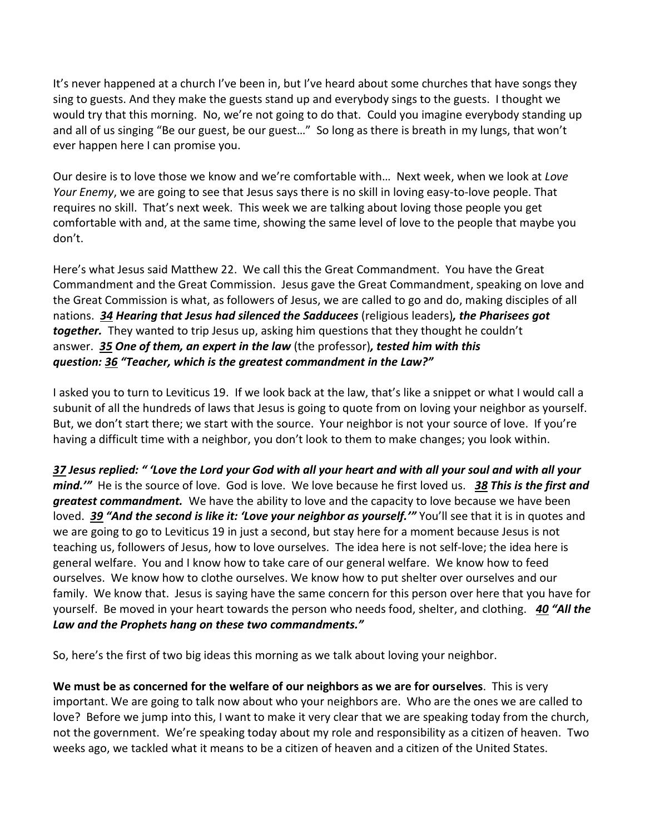It's never happened at a church I've been in, but I've heard about some churches that have songs they sing to guests. And they make the guests stand up and everybody sings to the guests. I thought we would try that this morning. No, we're not going to do that. Could you imagine everybody standing up and all of us singing "Be our guest, be our guest…" So long as there is breath in my lungs, that won't ever happen here I can promise you.

Our desire is to love those we know and we're comfortable with… Next week, when we look at *Love Your Enemy*, we are going to see that Jesus says there is no skill in loving easy-to-love people. That requires no skill. That's next week. This week we are talking about loving those people you get comfortable with and, at the same time, showing the same level of love to the people that maybe you don't.

Here's what Jesus said Matthew 22. We call this the Great Commandment. You have the Great Commandment and the Great Commission. Jesus gave the Great Commandment, speaking on love and the Great Commission is what, as followers of Jesus, we are called to go and do, making disciples of all nations. *[34](http://www.studylight.org/desk/?q=mt%2022:34&t1=en_niv&sr=1) Hearing that Jesus had silenced the Sadducees* (religious leaders)*, the Pharisees got together.* They wanted to trip Jesus up, asking him questions that they thought he couldn't answer. *[35](http://www.studylight.org/desk/?q=mt%2022:35&t1=en_niv&sr=1) One of them, an expert in the law* (the professor)*, tested him with this question: [36](http://www.studylight.org/desk/?q=mt%2022:36&t1=en_niv&sr=1) "Teacher, which is the greatest commandment in the Law?"*

I asked you to turn to Leviticus 19. If we look back at the law, that's like a snippet or what I would call a subunit of all the hundreds of laws that Jesus is going to quote from on loving your neighbor as yourself. But, we don't start there; we start with the source. Your neighbor is not your source of love. If you're having a difficult time with a neighbor, you don't look to them to make changes; you look within.

*[37](http://www.studylight.org/desk/?q=mt%2022:37&t1=en_niv&sr=1) Jesus replied: " 'Love the Lord your God with all your heart and with all your soul and with all your mind.'"* He is the source of love. God is love. We love because he first loved us. *[38](http://www.studylight.org/desk/?q=mt%2022:38&t1=en_niv&sr=1) This is the first and greatest commandment.* We have the ability to love and the capacity to love because we have been loved. [39](http://www.studylight.org/desk/?q=mt%2022:39&t1=en_niv&sr=1) "And the second is like it: 'Love your neighbor as yourself.'" You'll see that it is in quotes and we are going to go to Leviticus 19 in just a second, but stay here for a moment because Jesus is not teaching us, followers of Jesus, how to love ourselves. The idea here is not self-love; the idea here is general welfare. You and I know how to take care of our general welfare. We know how to feed ourselves. We know how to clothe ourselves. We know how to put shelter over ourselves and our family. We know that. Jesus is saying have the same concern for this person over here that you have for yourself. Be moved in your heart towards the person who needs food, shelter, and clothing. *[40](http://www.studylight.org/desk/?q=mt%2022:40&t1=en_niv&sr=1) "All the Law and the Prophets hang on these two commandments."*

So, here's the first of two big ideas this morning as we talk about loving your neighbor.

**We must be as concerned for the welfare of our neighbors as we are for ourselves**. This is very important. We are going to talk now about who your neighbors are. Who are the ones we are called to love? Before we jump into this, I want to make it very clear that we are speaking today from the church, not the government. We're speaking today about my role and responsibility as a citizen of heaven. Two weeks ago, we tackled what it means to be a citizen of heaven and a citizen of the United States.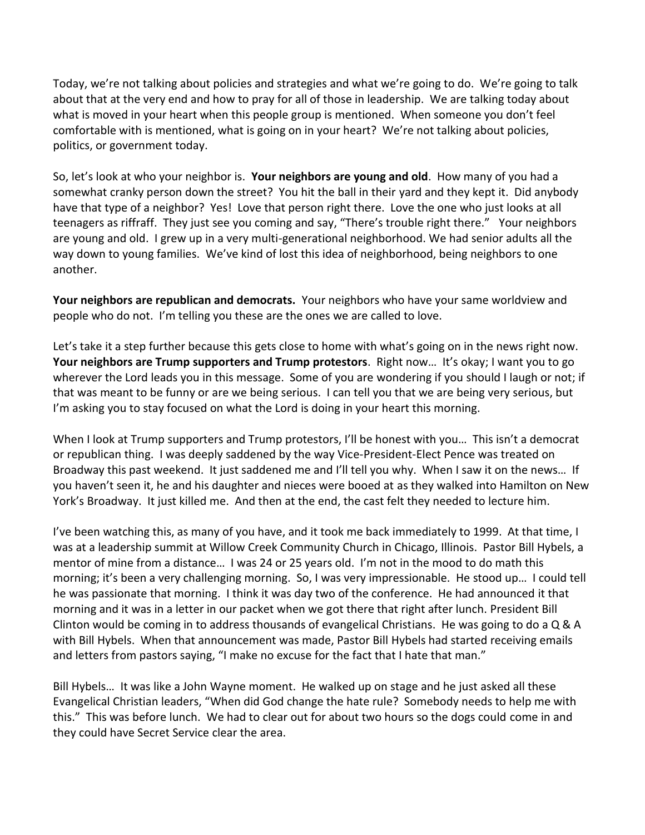Today, we're not talking about policies and strategies and what we're going to do. We're going to talk about that at the very end and how to pray for all of those in leadership. We are talking today about what is moved in your heart when this people group is mentioned. When someone you don't feel comfortable with is mentioned, what is going on in your heart? We're not talking about policies, politics, or government today.

So, let's look at who your neighbor is. **Your neighbors are young and old**. How many of you had a somewhat cranky person down the street? You hit the ball in their yard and they kept it. Did anybody have that type of a neighbor? Yes! Love that person right there. Love the one who just looks at all teenagers as riffraff. They just see you coming and say, "There's trouble right there." Your neighbors are young and old. I grew up in a very multi-generational neighborhood. We had senior adults all the way down to young families. We've kind of lost this idea of neighborhood, being neighbors to one another.

**Your neighbors are republican and democrats.** Your neighbors who have your same worldview and people who do not. I'm telling you these are the ones we are called to love.

Let's take it a step further because this gets close to home with what's going on in the news right now. **Your neighbors are Trump supporters and Trump protestors**. Right now… It's okay; I want you to go wherever the Lord leads you in this message. Some of you are wondering if you should I laugh or not; if that was meant to be funny or are we being serious. I can tell you that we are being very serious, but I'm asking you to stay focused on what the Lord is doing in your heart this morning.

When I look at Trump supporters and Trump protestors, I'll be honest with you... This isn't a democrat or republican thing. I was deeply saddened by the way Vice-President-Elect Pence was treated on Broadway this past weekend. It just saddened me and I'll tell you why. When I saw it on the news… If you haven't seen it, he and his daughter and nieces were booed at as they walked into Hamilton on New York's Broadway. It just killed me. And then at the end, the cast felt they needed to lecture him.

I've been watching this, as many of you have, and it took me back immediately to 1999. At that time, I was at a leadership summit at Willow Creek Community Church in Chicago, Illinois. Pastor Bill Hybels, a mentor of mine from a distance… I was 24 or 25 years old. I'm not in the mood to do math this morning; it's been a very challenging morning. So, I was very impressionable. He stood up… I could tell he was passionate that morning. I think it was day two of the conference. He had announced it that morning and it was in a letter in our packet when we got there that right after lunch. President Bill Clinton would be coming in to address thousands of evangelical Christians. He was going to do a Q & A with Bill Hybels. When that announcement was made, Pastor Bill Hybels had started receiving emails and letters from pastors saying, "I make no excuse for the fact that I hate that man."

Bill Hybels… It was like a John Wayne moment. He walked up on stage and he just asked all these Evangelical Christian leaders, "When did God change the hate rule? Somebody needs to help me with this." This was before lunch. We had to clear out for about two hours so the dogs could come in and they could have Secret Service clear the area.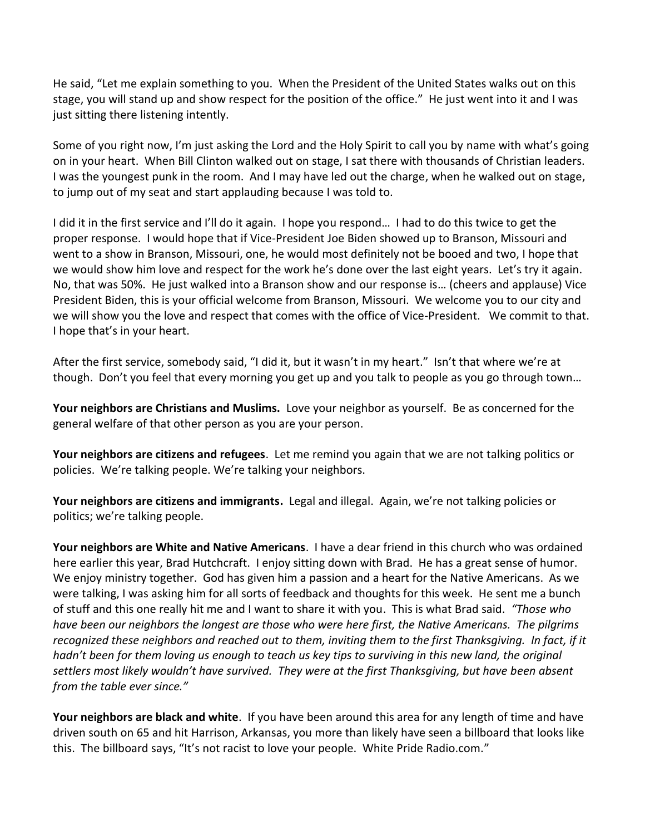He said, "Let me explain something to you. When the President of the United States walks out on this stage, you will stand up and show respect for the position of the office." He just went into it and I was just sitting there listening intently.

Some of you right now, I'm just asking the Lord and the Holy Spirit to call you by name with what's going on in your heart. When Bill Clinton walked out on stage, I sat there with thousands of Christian leaders. I was the youngest punk in the room. And I may have led out the charge, when he walked out on stage, to jump out of my seat and start applauding because I was told to.

I did it in the first service and I'll do it again. I hope you respond… I had to do this twice to get the proper response. I would hope that if Vice-President Joe Biden showed up to Branson, Missouri and went to a show in Branson, Missouri, one, he would most definitely not be booed and two, I hope that we would show him love and respect for the work he's done over the last eight years. Let's try it again. No, that was 50%. He just walked into a Branson show and our response is… (cheers and applause) Vice President Biden, this is your official welcome from Branson, Missouri. We welcome you to our city and we will show you the love and respect that comes with the office of Vice-President. We commit to that. I hope that's in your heart.

After the first service, somebody said, "I did it, but it wasn't in my heart." Isn't that where we're at though. Don't you feel that every morning you get up and you talk to people as you go through town…

**Your neighbors are Christians and Muslims.** Love your neighbor as yourself. Be as concerned for the general welfare of that other person as you are your person.

**Your neighbors are citizens and refugees**. Let me remind you again that we are not talking politics or policies. We're talking people. We're talking your neighbors.

**Your neighbors are citizens and immigrants.** Legal and illegal. Again, we're not talking policies or politics; we're talking people.

**Your neighbors are White and Native Americans**. I have a dear friend in this church who was ordained here earlier this year, Brad Hutchcraft. I enjoy sitting down with Brad. He has a great sense of humor. We enjoy ministry together. God has given him a passion and a heart for the Native Americans. As we were talking, I was asking him for all sorts of feedback and thoughts for this week. He sent me a bunch of stuff and this one really hit me and I want to share it with you. This is what Brad said. *"Those who have been our neighbors the longest are those who were here first, the Native Americans. The pilgrims recognized these neighbors and reached out to them, inviting them to the first Thanksgiving. In fact, if it hadn't been for them loving us enough to teach us key tips to surviving in this new land, the original settlers most likely wouldn't have survived. They were at the first Thanksgiving, but have been absent from the table ever since."*

**Your neighbors are black and white**. If you have been around this area for any length of time and have driven south on 65 and hit Harrison, Arkansas, you more than likely have seen a billboard that looks like this. The billboard says, "It's not racist to love your people. White Pride Radio.com."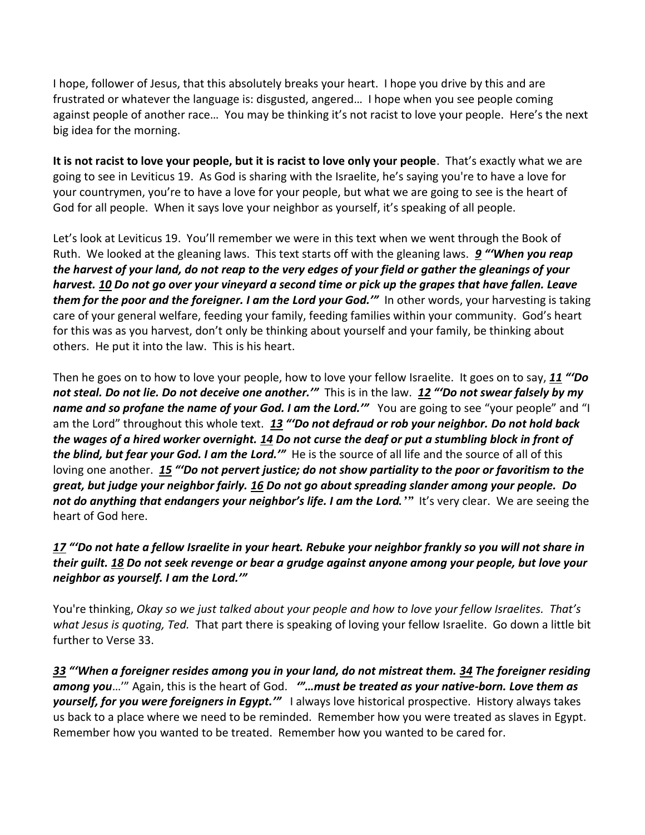I hope, follower of Jesus, that this absolutely breaks your heart. I hope you drive by this and are frustrated or whatever the language is: disgusted, angered… I hope when you see people coming against people of another race… You may be thinking it's not racist to love your people. Here's the next big idea for the morning.

**It is not racist to love your people, but it is racist to love only your people**. That's exactly what we are going to see in Leviticus 19. As God is sharing with the Israelite, he's saying you're to have a love for your countrymen, you're to have a love for your people, but what we are going to see is the heart of God for all people. When it says love your neighbor as yourself, it's speaking of all people.

Let's look at Leviticus 19. You'll remember we were in this text when we went through the Book of Ruth. We looked at the gleaning laws. This text starts off with the gleaning laws. *[9](http://www.studylight.org/desk/?q=le%2019:9&t1=en_niv&sr=1) "'When you reap the harvest of your land, do not reap to the very edges of your field or gather the gleanings of your harvest. [10](http://www.studylight.org/desk/?q=le%2019:10&t1=en_niv&sr=1) Do not go over your vineyard a second time or pick up the grapes that have fallen. Leave them for the poor and the foreigner. I am the Lord your God.'"* In other words, your harvesting is taking care of your general welfare, feeding your family, feeding families within your community. God's heart for this was as you harvest, don't only be thinking about yourself and your family, be thinking about others. He put it into the law. This is his heart.

Then he goes on to how to love your people, how to love your fellow Israelite. It goes on to say, *[11](http://www.studylight.org/desk/?q=le%2019:11&t1=en_niv&sr=1) "'Do not steal. Do not lie. Do not deceive one another.'"* This is in the law. *[12](http://www.studylight.org/desk/?q=le%2019:12&t1=en_niv&sr=1) "'Do not swear falsely by my name and so profane the name of your God. I am the Lord.*<sup>*'''*</sup> You are going to see "your people" and "I am the Lord" throughout this whole text. *[13](http://www.studylight.org/desk/?q=le%2019:13&t1=en_niv&sr=1) "'Do not defraud or rob your neighbor. Do not hold back the wages of a hired worker overnight. [14](http://www.studylight.org/desk/?q=le%2019:14&t1=en_niv&sr=1) Do not curse the deaf or put a stumbling block in front of the blind, but fear your God. I am the Lord.'"* He is the source of all life and the source of all of this loving one another. *[15](http://www.studylight.org/desk/?q=le%2019:15&t1=en_niv&sr=1) "'Do not pervert justice; do not show partiality to the poor or favoritism to the great, but judge your neighbor fairly. [16](http://www.studylight.org/desk/?q=le%2019:16&t1=en_niv&sr=1) Do not go about spreading slander among your people. Do not do anything that endangers your neighbor's life. I am the Lord.'"* It's very clear. We are seeing the heart of God here.

## *[17](http://www.studylight.org/desk/?q=le%2019:17&t1=en_niv&sr=1) "'Do not hate a fellow Israelite in your heart. Rebuke your neighbor frankly so you will not share in their guilt. [18](http://www.studylight.org/desk/?q=le%2019:18&t1=en_niv&sr=1) Do not seek revenge or bear a grudge against anyone among your people, but love your neighbor as yourself. I am the Lord.'"*

You're thinking, *Okay so we just talked about your people and how to love your fellow Israelites. That's what Jesus is quoting, Ted.* That part there is speaking of loving your fellow Israelite. Go down a little bit further to Verse 33.

*[33](http://www.studylight.org/desk/?q=le%2019:33&t1=en_niv&sr=1) "'When a foreigner resides among you in your land, do not mistreat them. [34](http://www.studylight.org/desk/?q=le%2019:34&t1=en_niv&sr=1) The foreigner residing among you*…'" Again, this is the heart of God. *'"…must be treated as your native-born. Love them as yourself, for you were foreigners in Egypt.'"* I always love historical prospective. History always takes us back to a place where we need to be reminded. Remember how you were treated as slaves in Egypt. Remember how you wanted to be treated. Remember how you wanted to be cared for.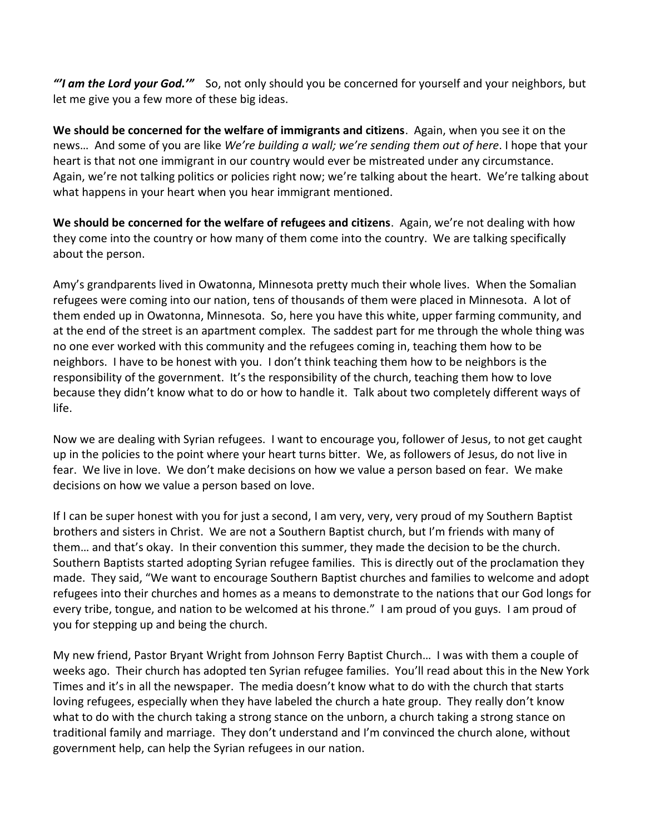*"'I am the Lord your God.'"* So, not only should you be concerned for yourself and your neighbors, but let me give you a few more of these big ideas.

**We should be concerned for the welfare of immigrants and citizens**. Again, when you see it on the news… And some of you are like *We're building a wall; we're sending them out of here*. I hope that your heart is that not one immigrant in our country would ever be mistreated under any circumstance. Again, we're not talking politics or policies right now; we're talking about the heart. We're talking about what happens in your heart when you hear immigrant mentioned.

**We should be concerned for the welfare of refugees and citizens**. Again, we're not dealing with how they come into the country or how many of them come into the country. We are talking specifically about the person.

Amy's grandparents lived in Owatonna, Minnesota pretty much their whole lives. When the Somalian refugees were coming into our nation, tens of thousands of them were placed in Minnesota. A lot of them ended up in Owatonna, Minnesota. So, here you have this white, upper farming community, and at the end of the street is an apartment complex. The saddest part for me through the whole thing was no one ever worked with this community and the refugees coming in, teaching them how to be neighbors. I have to be honest with you. I don't think teaching them how to be neighbors is the responsibility of the government. It's the responsibility of the church, teaching them how to love because they didn't know what to do or how to handle it. Talk about two completely different ways of life.

Now we are dealing with Syrian refugees. I want to encourage you, follower of Jesus, to not get caught up in the policies to the point where your heart turns bitter. We, as followers of Jesus, do not live in fear. We live in love. We don't make decisions on how we value a person based on fear. We make decisions on how we value a person based on love.

If I can be super honest with you for just a second, I am very, very, very proud of my Southern Baptist brothers and sisters in Christ. We are not a Southern Baptist church, but I'm friends with many of them… and that's okay. In their convention this summer, they made the decision to be the church. Southern Baptists started adopting Syrian refugee families. This is directly out of the proclamation they made. They said, "We want to encourage Southern Baptist churches and families to welcome and adopt refugees into their churches and homes as a means to demonstrate to the nations that our God longs for every tribe, tongue, and nation to be welcomed at his throne." I am proud of you guys. I am proud of you for stepping up and being the church.

My new friend, Pastor Bryant Wright from Johnson Ferry Baptist Church… I was with them a couple of weeks ago. Their church has adopted ten Syrian refugee families. You'll read about this in the New York Times and it's in all the newspaper. The media doesn't know what to do with the church that starts loving refugees, especially when they have labeled the church a hate group. They really don't know what to do with the church taking a strong stance on the unborn, a church taking a strong stance on traditional family and marriage. They don't understand and I'm convinced the church alone, without government help, can help the Syrian refugees in our nation.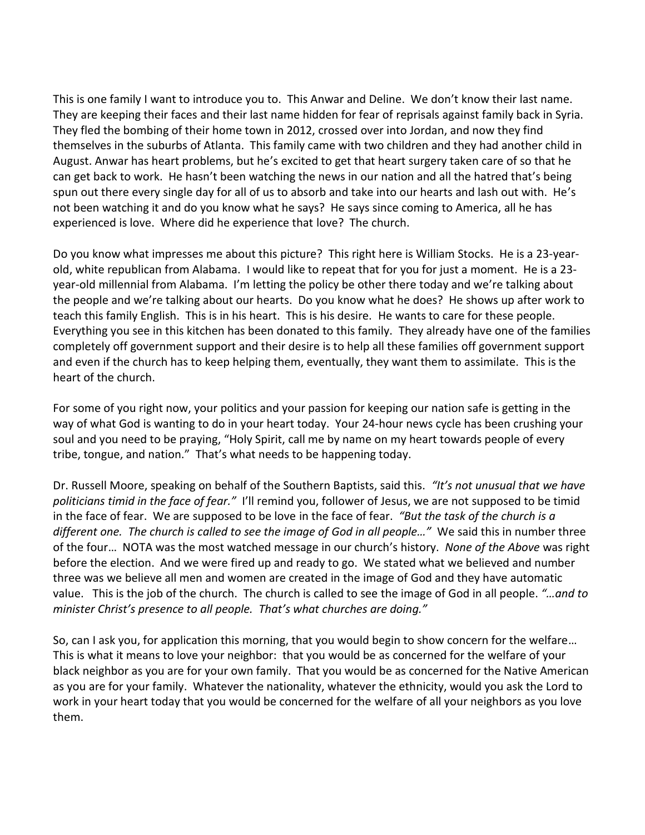This is one family I want to introduce you to. This Anwar and Deline. We don't know their last name. They are keeping their faces and their last name hidden for fear of reprisals against family back in Syria. They fled the bombing of their home town in 2012, crossed over into Jordan, and now they find themselves in the suburbs of Atlanta. This family came with two children and they had another child in August. Anwar has heart problems, but he's excited to get that heart surgery taken care of so that he can get back to work. He hasn't been watching the news in our nation and all the hatred that's being spun out there every single day for all of us to absorb and take into our hearts and lash out with. He's not been watching it and do you know what he says? He says since coming to America, all he has experienced is love. Where did he experience that love? The church.

Do you know what impresses me about this picture? This right here is William Stocks. He is a 23-yearold, white republican from Alabama. I would like to repeat that for you for just a moment. He is a 23 year-old millennial from Alabama. I'm letting the policy be other there today and we're talking about the people and we're talking about our hearts. Do you know what he does? He shows up after work to teach this family English. This is in his heart. This is his desire. He wants to care for these people. Everything you see in this kitchen has been donated to this family. They already have one of the families completely off government support and their desire is to help all these families off government support and even if the church has to keep helping them, eventually, they want them to assimilate. This is the heart of the church.

For some of you right now, your politics and your passion for keeping our nation safe is getting in the way of what God is wanting to do in your heart today. Your 24-hour news cycle has been crushing your soul and you need to be praying, "Holy Spirit, call me by name on my heart towards people of every tribe, tongue, and nation." That's what needs to be happening today.

Dr. Russell Moore, speaking on behalf of the Southern Baptists, said this. *"It's not unusual that we have politicians timid in the face of fear."* I'll remind you, follower of Jesus, we are not supposed to be timid in the face of fear. We are supposed to be love in the face of fear. *"But the task of the church is a different one. The church is called to see the image of God in all people…"* We said this in number three of the four… NOTA was the most watched message in our church's history. *None of the Above* was right before the election. And we were fired up and ready to go. We stated what we believed and number three was we believe all men and women are created in the image of God and they have automatic value. This is the job of the church. The church is called to see the image of God in all people. *"…and to minister Christ's presence to all people. That's what churches are doing."*

So, can I ask you, for application this morning, that you would begin to show concern for the welfare… This is what it means to love your neighbor: that you would be as concerned for the welfare of your black neighbor as you are for your own family. That you would be as concerned for the Native American as you are for your family. Whatever the nationality, whatever the ethnicity, would you ask the Lord to work in your heart today that you would be concerned for the welfare of all your neighbors as you love them.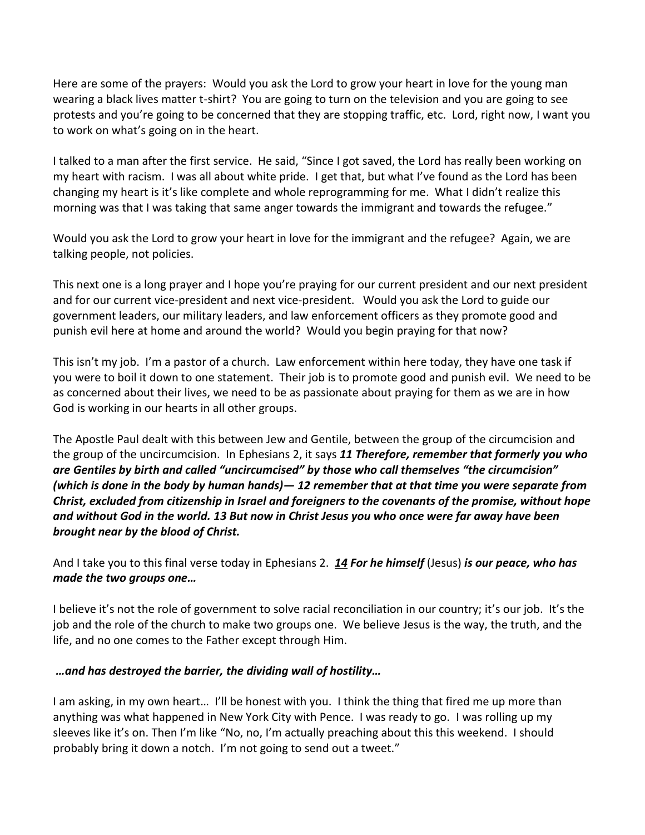Here are some of the prayers: Would you ask the Lord to grow your heart in love for the young man wearing a black lives matter t-shirt? You are going to turn on the television and you are going to see protests and you're going to be concerned that they are stopping traffic, etc. Lord, right now, I want you to work on what's going on in the heart.

I talked to a man after the first service. He said, "Since I got saved, the Lord has really been working on my heart with racism. I was all about white pride. I get that, but what I've found as the Lord has been changing my heart is it's like complete and whole reprogramming for me. What I didn't realize this morning was that I was taking that same anger towards the immigrant and towards the refugee."

Would you ask the Lord to grow your heart in love for the immigrant and the refugee? Again, we are talking people, not policies.

This next one is a long prayer and I hope you're praying for our current president and our next president and for our current vice-president and next vice-president. Would you ask the Lord to guide our government leaders, our military leaders, and law enforcement officers as they promote good and punish evil here at home and around the world? Would you begin praying for that now?

This isn't my job. I'm a pastor of a church. Law enforcement within here today, they have one task if you were to boil it down to one statement. Their job is to promote good and punish evil. We need to be as concerned about their lives, we need to be as passionate about praying for them as we are in how God is working in our hearts in all other groups.

The Apostle Paul dealt with this between Jew and Gentile, between the group of the circumcision and the group of the uncircumcision. In Ephesians 2, it says *[11](http://www.studylight.org/desk/?q=eph%202:11&t1=en_niv&sr=1) Therefore, remember that formerly you who are Gentiles by birth and called "uncircumcised" by those who call themselves "the circumcision" (which is done in the body by human hands)— [12](http://www.studylight.org/desk/?q=eph%202:12&t1=en_niv&sr=1) remember that at that time you were separate from Christ, excluded from citizenship in Israel and foreigners to the covenants of the promise, without hope and without God in the world. [13](http://www.studylight.org/desk/?q=eph%202:13&t1=en_niv&sr=1) But now in Christ Jesus you who once were far away have been brought near by the blood of Christ.*

And I take you to this final verse today in Ephesians 2. *[14](http://www.studylight.org/desk/?q=eph%202:14&t1=en_niv&sr=1) For he himself* (Jesus) *is our peace, who has made the two groups one…* 

I believe it's not the role of government to solve racial reconciliation in our country; it's our job. It's the job and the role of the church to make two groups one. We believe Jesus is the way, the truth, and the life, and no one comes to the Father except through Him.

## *…and has destroyed the barrier, the dividing wall of hostility…*

I am asking, in my own heart… I'll be honest with you. I think the thing that fired me up more than anything was what happened in New York City with Pence. I was ready to go. I was rolling up my sleeves like it's on. Then I'm like "No, no, I'm actually preaching about this this weekend. I should probably bring it down a notch. I'm not going to send out a tweet."